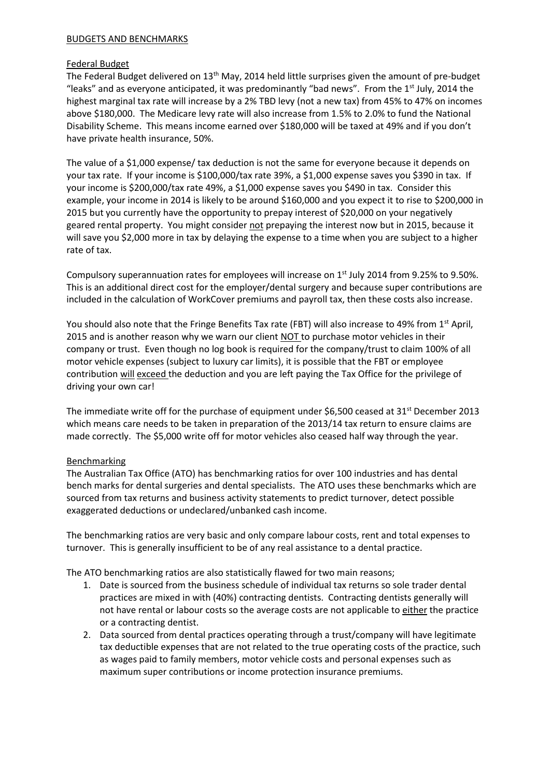## BUDGETS AND BENCHMARKS

## Federal Budget

The Federal Budget delivered on 13<sup>th</sup> May, 2014 held little surprises given the amount of pre-budget "leaks" and as everyone anticipated, it was predominantly "bad news". From the 1<sup>st</sup> July, 2014 the highest marginal tax rate will increase by a 2% TBD levy (not a new tax) from 45% to 47% on incomes above \$180,000. The Medicare levy rate will also increase from 1.5% to 2.0% to fund the National Disability Scheme. This means income earned over \$180,000 will be taxed at 49% and if you don't have private health insurance, 50%.

The value of a \$1,000 expense/ tax deduction is not the same for everyone because it depends on your tax rate. If your income is \$100,000/tax rate 39%, a \$1,000 expense saves you \$390 in tax. If your income is \$200,000/tax rate 49%, a \$1,000 expense saves you \$490 in tax. Consider this example, your income in 2014 is likely to be around \$160,000 and you expect it to rise to \$200,000 in 2015 but you currently have the opportunity to prepay interest of \$20,000 on your negatively geared rental property. You might consider not prepaying the interest now but in 2015, because it will save you \$2,000 more in tax by delaying the expense to a time when you are subject to a higher rate of tax.

Compulsory superannuation rates for employees will increase on 1<sup>st</sup> July 2014 from 9.25% to 9.50%. This is an additional direct cost for the employer/dental surgery and because super contributions are included in the calculation of WorkCover premiums and payroll tax, then these costs also increase.

You should also note that the Fringe Benefits Tax rate (FBT) will also increase to 49% from 1<sup>st</sup> April, 2015 and is another reason why we warn our client NOT to purchase motor vehicles in their company or trust. Even though no log book is required for the company/trust to claim 100% of all motor vehicle expenses (subject to luxury car limits), it is possible that the FBT or employee contribution will exceed the deduction and you are left paying the Tax Office for the privilege of driving your own car!

The immediate write off for the purchase of equipment under \$6,500 ceased at  $31<sup>st</sup>$  December 2013 which means care needs to be taken in preparation of the 2013/14 tax return to ensure claims are made correctly. The \$5,000 write off for motor vehicles also ceased half way through the year.

## Benchmarking

The Australian Tax Office (ATO) has benchmarking ratios for over 100 industries and has dental bench marks for dental surgeries and dental specialists. The ATO uses these benchmarks which are sourced from tax returns and business activity statements to predict turnover, detect possible exaggerated deductions or undeclared/unbanked cash income.

The benchmarking ratios are very basic and only compare labour costs, rent and total expenses to turnover. This is generally insufficient to be of any real assistance to a dental practice.

The ATO benchmarking ratios are also statistically flawed for two main reasons;

- 1. Date is sourced from the business schedule of individual tax returns so sole trader dental practices are mixed in with (40%) contracting dentists. Contracting dentists generally will not have rental or labour costs so the average costs are not applicable to either the practice or a contracting dentist.
- 2. Data sourced from dental practices operating through a trust/company will have legitimate tax deductible expenses that are not related to the true operating costs of the practice, such as wages paid to family members, motor vehicle costs and personal expenses such as maximum super contributions or income protection insurance premiums.